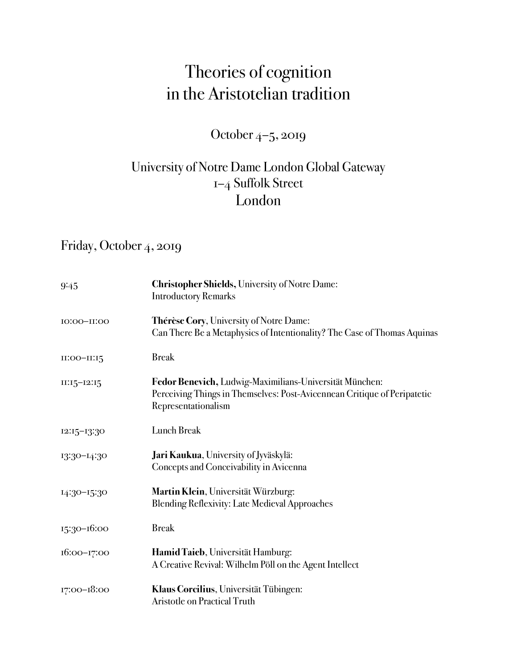# Theories of cognition in the Aristotelian tradition

October 4–5, 2019

## University of Notre Dame London Global Gateway 1–4 Suffolk Street London

# Friday, October 4, 2019

| 9:45          | <b>Christopher Shields, University of Notre Dame:</b><br><b>Introductory Remarks</b>                                                                       |
|---------------|------------------------------------------------------------------------------------------------------------------------------------------------------------|
| IO:00-II:00   | Thérèse Cory, University of Notre Dame:<br>Can There Be a Metaphysics of Intentionality? The Case of Thomas Aquinas                                        |
| $II:OO-II:15$ | <b>Break</b>                                                                                                                                               |
| $II:15-12:15$ | Fedor Benevich, Ludwig-Maximilians-Universität München:<br>Perceiving Things in Themselves: Post-Avicennean Critique of Peripatetic<br>Representationalism |
| 12:15-13:30   | <b>Lunch Break</b>                                                                                                                                         |
| 13:30-14:30   | Jari Kaukua, University of Jyväskylä:<br>Concepts and Conceivability in Avicenna                                                                           |
| 14:30-15:30   | Martin Klein, Universität Würzburg:<br><b>Blending Reflexivity: Late Medieval Approaches</b>                                                               |
| 15:30-16:00   | <b>Break</b>                                                                                                                                               |
| 16:00-17:00   | Hamid Taieb, Universität Hamburg:<br>A Creative Revival: Wilhelm Pöll on the Agent Intellect                                                               |
| 17:00-18:00   | Klaus Corcilius, Universität Tübingen:<br>Aristotle on Practical Truth                                                                                     |